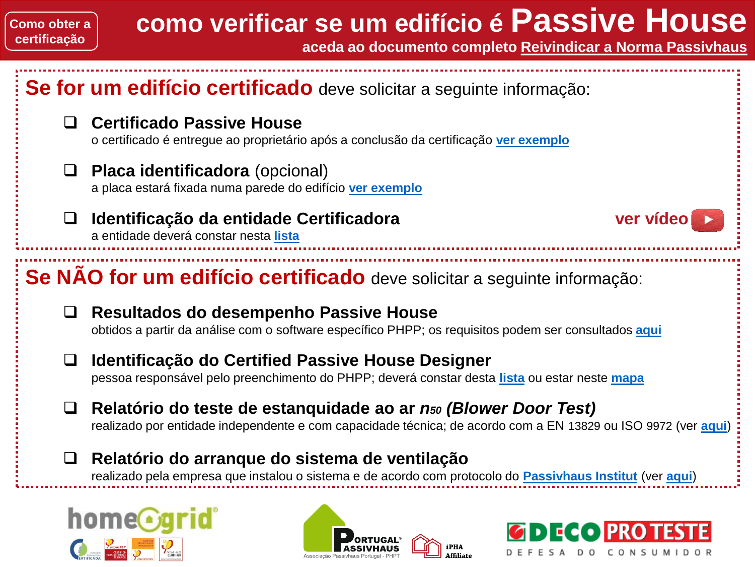